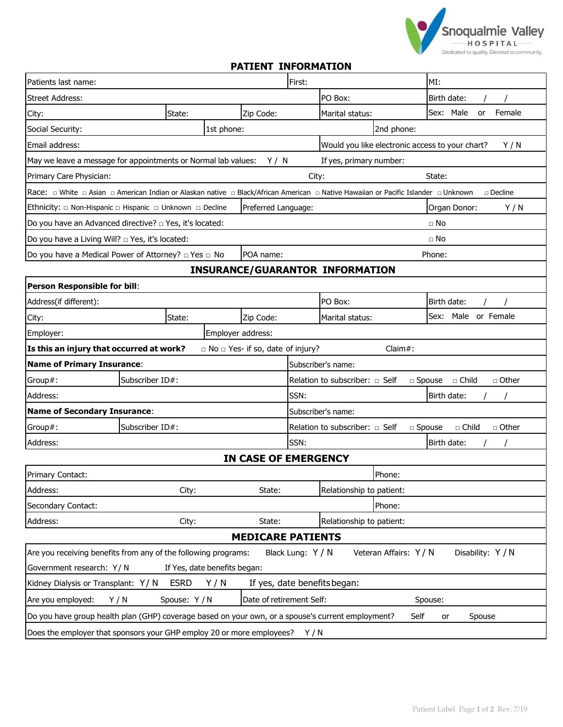

## **PATIENT INFORMATION**

| Patients last name:                                                                                                                |        |                                    |        | First:                                                                                    |            | MI:                       |     |
|------------------------------------------------------------------------------------------------------------------------------------|--------|------------------------------------|--------|-------------------------------------------------------------------------------------------|------------|---------------------------|-----|
| Street Address:                                                                                                                    |        |                                    |        | PO Box:                                                                                   |            | Birth date:               |     |
| City:                                                                                                                              | State: | Zip Code:                          |        | Marital status:                                                                           |            | Sex: Male<br>Female<br>or |     |
| Social Security:                                                                                                                   |        | 1st phone:                         |        |                                                                                           | 2nd phone: |                           |     |
| Email address:                                                                                                                     |        |                                    |        | Would you like electronic access to your chart?<br>Y/N                                    |            |                           |     |
| May we leave a message for appointments or Normal lab values:                                                                      |        |                                    | Y/N    | If yes, primary number:                                                                   |            |                           |     |
| Primary Care Physician:                                                                                                            |        |                                    |        | City:<br>State:                                                                           |            |                           |     |
|                                                                                                                                    |        |                                    |        |                                                                                           |            | $\Box$ Decline            |     |
| Ethnicity: □ Non-Hispanic □ Hispanic □ Unknown □ Decline<br>Preferred Language:                                                    |        |                                    |        | Organ Donor:                                                                              |            |                           | Y/N |
| Do you have an Advanced directive? $\Box$ Yes, it's located:                                                                       |        |                                    |        | $\Box$ No                                                                                 |            |                           |     |
| Do you have a Living Will? $\Box$ Yes, it's located:                                                                               |        |                                    |        | $\Box$ No                                                                                 |            |                           |     |
| Do you have a Medical Power of Attorney? $\Box$ Yes $\Box$ No<br>POA name:                                                         |        |                                    |        | Phone:                                                                                    |            |                           |     |
| <b>INSURANCE/GUARANTOR INFORMATION</b>                                                                                             |        |                                    |        |                                                                                           |            |                           |     |
| Person Responsible for bill:                                                                                                       |        |                                    |        |                                                                                           |            |                           |     |
| Address(if different):                                                                                                             |        |                                    |        | PO Box:                                                                                   |            | Birth date:               |     |
| City:                                                                                                                              | State: | Zip Code:                          |        | Marital status:                                                                           |            | Sex:<br>Male or Female    |     |
| Employer:                                                                                                                          |        | Employer address:                  |        |                                                                                           |            |                           |     |
| Is this an injury that occurred at work?                                                                                           |        | □ No □ Yes- if so, date of injury? |        |                                                                                           | Claim#:    |                           |     |
| <b>Name of Primary Insurance:</b>                                                                                                  |        |                                    |        | Subscriber's name:                                                                        |            |                           |     |
| Subscriber ID#:<br>Group#:                                                                                                         |        |                                    |        | $\Box$ Other<br>Relation to subscriber: $\Box$ Self<br>$\square$ Spouse<br>□ Child        |            |                           |     |
| Address:                                                                                                                           |        |                                    |        | SSN:<br>Birth date:                                                                       |            |                           |     |
| <b>Name of Secondary Insurance:</b>                                                                                                |        |                                    |        | Subscriber's name:                                                                        |            |                           |     |
| Subscriber ID#:<br>Group#:                                                                                                         |        |                                    |        | $\sqcap$ Other<br>Relation to subscriber: $\Box$ Self<br>$\Box$ Child<br>$\square$ Spouse |            |                           |     |
| Address:                                                                                                                           |        |                                    | SSN:   |                                                                                           |            | Birth date:               |     |
| <b>IN CASE OF EMERGENCY</b>                                                                                                        |        |                                    |        |                                                                                           |            |                           |     |
| Primary Contact:                                                                                                                   |        |                                    |        |                                                                                           | Phone:     |                           |     |
| Address:                                                                                                                           | City:  |                                    | State: | Relationship to patient:                                                                  |            |                           |     |
| Secondary Contact:                                                                                                                 |        |                                    |        |                                                                                           | Phone:     |                           |     |
| Address:                                                                                                                           | City:  |                                    | State: | Relationship to patient:                                                                  |            |                           |     |
| <b>MEDICARE PATIENTS</b>                                                                                                           |        |                                    |        |                                                                                           |            |                           |     |
| Veteran Affairs: Y / N<br>Disability: Y / N<br>Are you receiving benefits from any of the following programs:<br>Black Lung: Y / N |        |                                    |        |                                                                                           |            |                           |     |
| Government research: Y/N<br>If Yes, date benefits began:                                                                           |        |                                    |        |                                                                                           |            |                           |     |
| <b>ESRD</b><br>If yes, date benefits began:<br>Y/N<br>Kidney Dialysis or Transplant: Y/N                                           |        |                                    |        |                                                                                           |            |                           |     |
| Date of retirement Self:<br>Are you employed:<br>Spouse: Y/N<br>Y/N<br>Spouse:                                                     |        |                                    |        |                                                                                           |            |                           |     |
| Do you have group health plan (GHP) coverage based on your own, or a spouse's current employment?                                  |        |                                    |        |                                                                                           | Self       | Spouse<br>or              |     |
| Does the employer that sponsors your GHP employ 20 or more employees? Y / N                                                        |        |                                    |        |                                                                                           |            |                           |     |